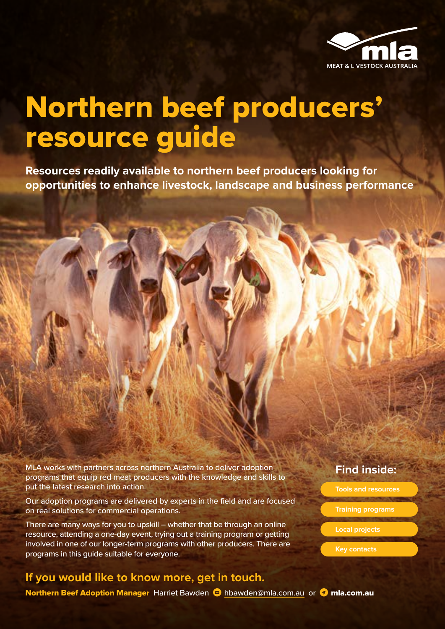

## Northern beef producers' resource guide

**Resources readily available to northern beef producers looking for opportunities to enhance livestock, landscape and business performance**

MLA works with partners across northern Australia to deliver adoption programs that equip red meat producers with the knowledge and skills to put the latest research into action.

Our adoption programs are delivered by experts in the field and are focused on real solutions for commercial operations.

There are many ways for you to upskill – whether that be through an online resource, attending a one-day event, trying out a training program or getting involved in one of our longer-term programs with other producers. There are programs in this guide suitable for everyone.

#### **If you would like to know more, get in touch.**

Northern Beef Adoption Manager Harriet Bawden **S** [hbawden@mla.com.au](mailto:hbawden%40mla.com.au?subject=) or **C** mla.com.au

#### **Find inside:**

- **Tools and resources**
- **Training programs**
- **Local projects**
- **Key contacts**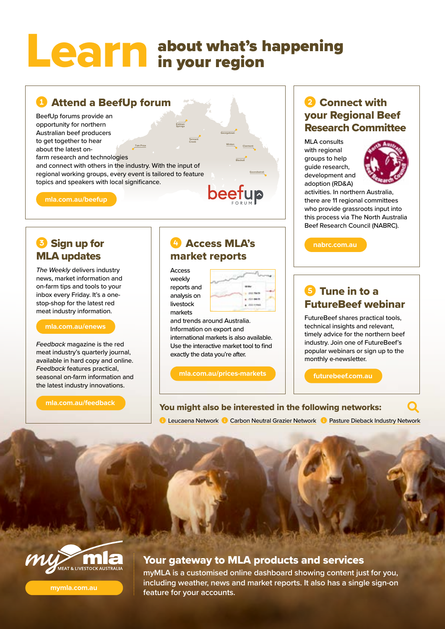## about what's happening in your region Learn

#### **C** Attend a BeefUp forum

Tom Price Kidman Springs Tennant Creek BeefUp forums provide an opportunity for northern Australian beef producers to get together to hear about the latest onfarm research and technologies and connect with others in the industry. With the input of regional working groups, every event is tailored to feature topics and speakers with local significance.

**[mla.com.au/beefup](https://www.mla.com.au/beefup)**

#### **B** Sign up for MLA updates

*The Weekly* delivers industry news, market information and on-farm tips and tools to your inbox every Friday. It's a onestop-shop for the latest red meat industry information.

#### **[mla.com.au/enews](https://www.mla.com.au/enews)**

*Feedback* magazine is the red meat industry's quarterly journal, available in hard copy and online. *Feedback* features practical, seasonal on-farm information and the latest industry innovations.

**[mla.com.au/feedback](https://www.mla.com.au/feedback)**

#### **C** Access MLA's market reports

Access weekly reports and analysis on livestock markets

Winton

**Georgetown** 

Blackall

beefup

**Clermont** 

Goondiwind

and trends around Australia. Information on export and international markets is also available. Use the interactive market tool to find exactly the data you're after.

**[mla.com.au/prices-markets](https://www.mla.com.au/prices-markets)**

#### 2 Connect with your Regional Beef Research Committee

MLA consults with regional groups to help guide research, development and adoption (RD&A)



activities. In northern Australia, there are 11 regional committees who provide grassroots input into this process via The North Australia Beef Research Council (NABRC).

**[nabrc.com.au](https://www.nabrc.com.au/)**

#### **S** Tune in to a FutureBeef webinar

FutureBeef shares practical tools, technical insights and relevant, timely advice for the northern beef industry. Join one of FutureBeef's popular webinars or sign up to the monthly e-newsletter.

Q

**[futurebeef.com.au](http://www.futurebeef.com.au)**

#### You might also be interested in the following networks:

[Leucaena Network](https://www.leucaena.net/) C [Carbon Neutral Grazier Network](https://www.surveymonkey.com/r/T2JWMRR) C [Pasture Dieback Industry Network](https://www.surveymonkey.com/r/DAFPastureDiebackIndustryNetwork)



**[mymla.com.au](https://mymla.com.au)**

#### Your gateway to MLA products and services

**myMLA is a customised online dashboard showing content just for you, including weather, news and market reports. It also has a single sign-on feature for your accounts.**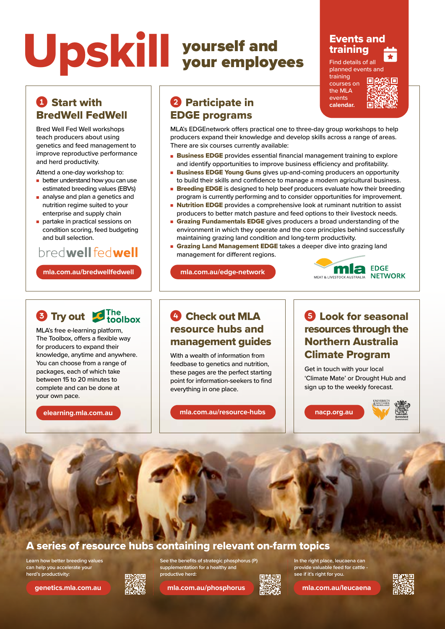## yourself and your employees Upskill

#### Events and training ti<br>Ca

Find details of all planned events [and](https://www.mla.com.au/events)

training courses on the MLA events **calendar.**



#### **Q** Start with BredWell FedWell

Bred Well Fed Well workshops teach producers about using genetics and feed management to improve reproductive performance and herd productivity.

Attend a one-day workshop to:

- better understand how you can use estimated breeding values (EBVs)
- analyse and plan a genetics and nutrition regime suited to your enterprise and supply chain
- partake in practical sessions on condition scoring, feed budgeting and bull selection.

#### bredwell fedwell

**[mla.com.au/bredwellfedwell](https://www.mla.com.au/bredwellfedwell)** 

## **3** Try out **C** The toolbox

MLA's free e-learning platform, The Toolbox, offers a flexible way for producers to expand their knowledge, anytime and anywhere. You can choose from a range of packages, each of which take between 15 to 20 minutes to complete and can be done at your own pace.

**elearning.mla.com.au**

#### **2** Participate in EDGE programs

MLA's EDGEnetwork offers practical one to three-day group workshops to help producers expand their knowledge and develop skills across a range of areas. There are six courses currently available:

- Business EDGE provides essential financial management training to explore and identify opportunities to improve business efficiency and profitability.
- Business EDGE Young Guns gives up-and-coming producers an opportunity to build their skills and confidence to manage a modern agricultural business.
- **Breeding EDGE** is designed to help beef producers evaluate how their breeding program is currently performing and to consider opportunities for improvement.
- Nutrition EDGE provides a comprehensive look at ruminant nutrition to assist producers to better match pasture and feed options to their livestock needs.
- **Grazing Fundamentals EDGE** gives producers a broad understanding of the environment in which they operate and the core principles behind successfully maintaining grazing land condition and long-term productivity.
- **Grazing Land Management EDGE** takes a deeper dive into grazing land management for different regions.

**[mla.com.au/edge-network](https://www.mla.com.au/edge-network)**



#### C<sub>1</sub> Check out MLA resource hubs and management guides

With a wealth of information from feedbase to genetics and nutrition, these pages are the perfect starting point for information-seekers to find everything in one place.

**[mla.com.au/resource-hubs](https://www.mla.com.au/resource-hubs)**

#### **6** Look for seasonal resources through the Northern Australia Climate Program

Get in touch with your local 'Climate Mate' or Drought Hub and sign up to the weekly forecast.







#### A series of resource hubs containing relevant on-farm topics

**Learn how better breeding values can help you accelerate your herd's productivity:**



**See the benefits of strategic phosphorus (P) supplementation for a healthy and productive herd:** 

**[genetics.mla.com.au](https://genetics.mla.com.au) [mla.com.au/phosphorus](https://www.mla.com.au/phosphorus) [mla.com.au/leucaena](https://www.mla.com.au/leucaena)**



**In the right place, leucaena can provide valuable feed for cattle see if it's right for you.**